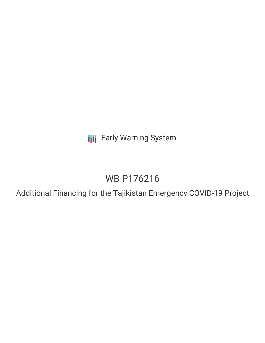**III** Early Warning System

# WB-P176216

Additional Financing for the Tajikistan Emergency COVID-19 Project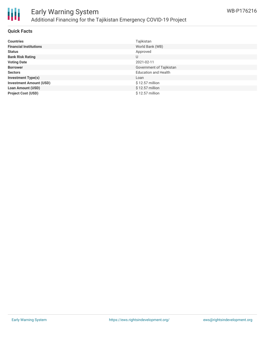

# Early Warning System Additional Financing for the Tajikistan Emergency COVID-19 Project

# **Quick Facts**

| <b>Countries</b>               | Tajikistan                  |
|--------------------------------|-----------------------------|
| <b>Financial Institutions</b>  | World Bank (WB)             |
| <b>Status</b>                  | Approved                    |
| <b>Bank Risk Rating</b>        | U                           |
| <b>Voting Date</b>             | 2021-02-11                  |
| <b>Borrower</b>                | Government of Tajikistan    |
| <b>Sectors</b>                 | <b>Education and Health</b> |
| <b>Investment Type(s)</b>      | Loan                        |
| <b>Investment Amount (USD)</b> | $$12.57$ million            |
| <b>Loan Amount (USD)</b>       | $$12.57$ million            |
| <b>Project Cost (USD)</b>      | \$12.57 million             |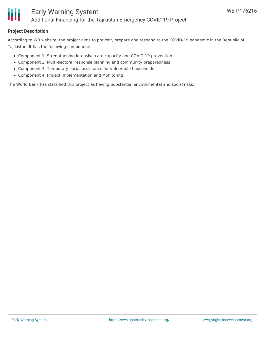

# **Project Description**

According to WB website, the project aims to prevent, prepare and respond to the COVID-19 pandemic in the Republic of Tajikistan. It has the following components:

- Component 1. Strengthening intensive care capacity and COVID-19 prevention
- Component 2. Multi-sectoral response planning and community preparedness
- Component 3. Temporary social assistance for vulnerable households
- Component 4. Project Implementation and Monitoring

The World Bank has classified this project as having Substantial environmental and social risks.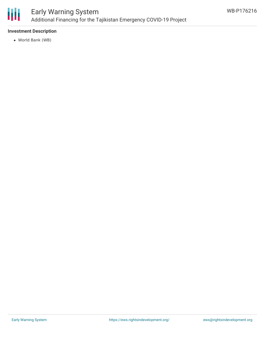

# **Investment Description**

World Bank (WB)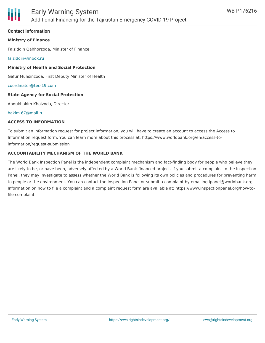### **Contact Information**

# **Ministry of Finance**

Faiziddin Qahhorzoda, Minister of Finance

[faiziddin@inbox.ru](mailto:faiziddin@inbox.ru)

#### **Ministry of Health and Social Protection**

Gafur Muhsinzoda, First Deputy Minister of Health

[coordinator@tec-19.com](mailto:coordinator@tec-19.com)

#### **State Agency for Social Protection**

Abdukhakim Kholzoda, Director

#### [hakim.67@mail.ru](mailto:hakim.67@mail.ru)

#### **ACCESS TO INFORMATION**

To submit an information request for project information, you will have to create an account to access the Access to Information request form. You can learn more about this process at: https://www.worldbank.org/en/access-toinformation/request-submission

#### **ACCOUNTABILITY MECHANISM OF THE WORLD BANK**

The World Bank Inspection Panel is the independent complaint mechanism and fact-finding body for people who believe they are likely to be, or have been, adversely affected by a World Bank-financed project. If you submit a complaint to the Inspection Panel, they may investigate to assess whether the World Bank is following its own policies and procedures for preventing harm to people or the environment. You can contact the Inspection Panel or submit a complaint by emailing ipanel@worldbank.org. Information on how to file a complaint and a complaint request form are available at: https://www.inspectionpanel.org/how-tofile-complaint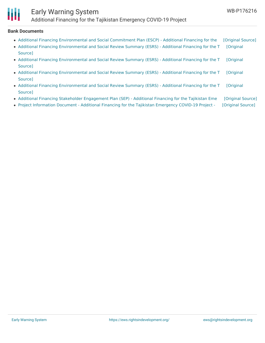

# Early Warning System Additional Financing for the Tajikistan Emergency COVID-19 Project

# **Bank Documents**

| • Additional Financing Environmental and Social Commitment Plan (ESCP) - Additional Financing for the  | [Original Source] |
|--------------------------------------------------------------------------------------------------------|-------------------|
| • Additional Financing Environmental and Social Review Summary (ESRS) - Additional Financing for the T | [Original         |
| Source]                                                                                                |                   |
| • Additional Financing Environmental and Social Review Summary (ESRS) - Additional Financing for the T | <b>[Original</b>  |
| Source]                                                                                                |                   |
| • Additional Financing Environmental and Social Review Summary (ESRS) - Additional Financing for the T | <b>[Original</b>  |
| Source]                                                                                                |                   |
| • Additional Financing Environmental and Social Review Summary (ESRS) - Additional Financing for the T | <b>[Original</b>  |
| Source]                                                                                                |                   |
|                                                                                                        |                   |

- Additional Financing Stakeholder [Engagement](https://ewsdata.rightsindevelopment.org/files/documents/16/WB-P176216.pdf) Plan (SEP) Additional Financing for the Tajikistan Eme [\[Original](http://documents.worldbank.org/curated/en/859411611349401024/pdf/Additional-Financing-Stakeholder-Engagement-Plan-SEP-Additional-Financing-for-the-Tajikistan-Emergency-COVID-19-Project-P176216.pdf) Source]
- Project [Information](https://ewsdata.rightsindevelopment.org/files/documents/16/WB-P176216_iGZh99U.pdf) Document Additional Financing for the Tajikistan Emergency COVID-19 Project [\[Original](http://documents.worldbank.org/curated/en/761771612684753861/pdf/Project-Information-Document-Additional-Financing-for-the-Tajikistan-Emergency-COVID-19-Project-P176216.pdf) Source]